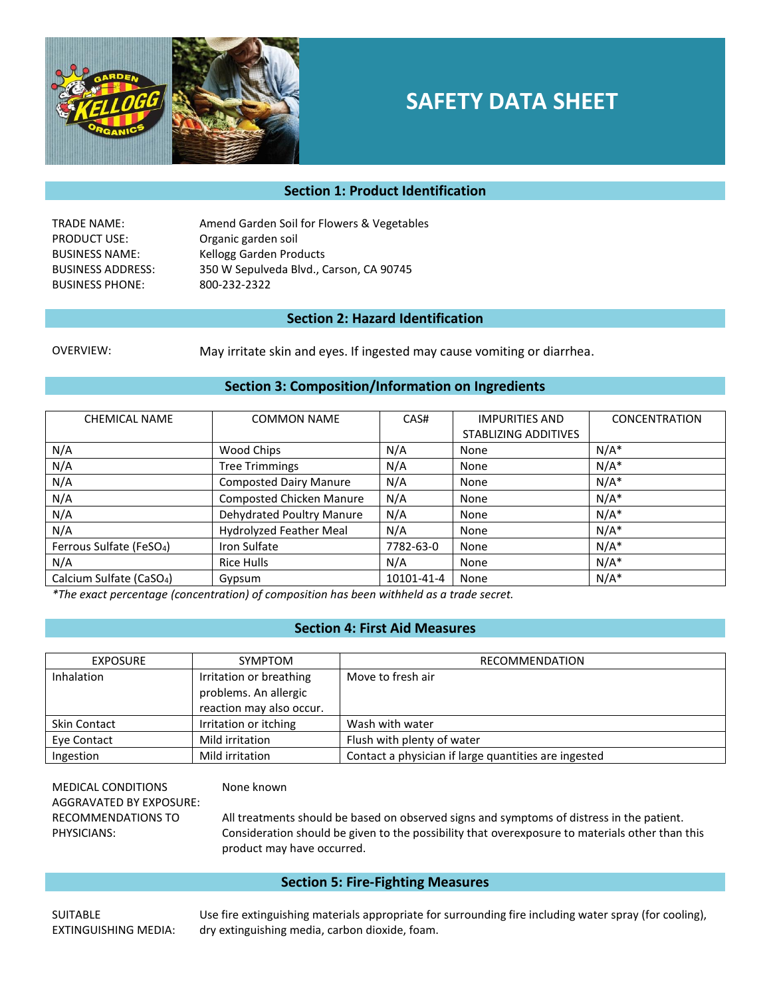

# **SAFETY DATA SHEET**

# **Section 1: Product Identification**

TRADE NAME: Amend Garden Soil for Flowers & Vegetables PRODUCT USE: Organic garden soil BUSINESS NAME: Kellogg Garden Products BUSINESS ADDRESS: 350 W Sepulveda Blvd., Carson, CA 90745 BUSINESS PHONE: 800-232-2322

#### **Section 2: Hazard Identification**

OVERVIEW: May irritate skin and eyes. If ingested may cause vomiting or diarrhea.

#### **Section 3: Composition/Information on Ingredients**

| <b>CHEMICAL NAME</b>                 | <b>COMMON NAME</b>              | CAS#       | <b>IMPURITIES AND</b>       | <b>CONCENTRATION</b> |
|--------------------------------------|---------------------------------|------------|-----------------------------|----------------------|
|                                      |                                 |            | <b>STABLIZING ADDITIVES</b> |                      |
| N/A                                  | Wood Chips                      | N/A        | None                        | $N/A^*$              |
| N/A                                  | <b>Tree Trimmings</b>           | N/A        | None                        | $N/A^*$              |
| N/A                                  | <b>Composted Dairy Manure</b>   | N/A        | None                        | $N/A^*$              |
| N/A                                  | <b>Composted Chicken Manure</b> | N/A        | None                        | $N/A^*$              |
| N/A                                  | Dehydrated Poultry Manure       | N/A        | None                        | $N/A^*$              |
| N/A                                  | Hydrolyzed Feather Meal         | N/A        | None                        | $N/A^*$              |
| Ferrous Sulfate (FeSO <sub>4</sub> ) | Iron Sulfate                    | 7782-63-0  | None                        | $N/A^*$              |
| N/A                                  | Rice Hulls                      | N/A        | None                        | $N/A^*$              |
| Calcium Sulfate (CaSO <sub>4</sub> ) | Gypsum                          | 10101-41-4 | None                        | $N/A^*$              |

*\*The exact percentage (concentration) of composition has been withheld as a trade secret.*

## **Section 4: First Aid Measures**

| <b>EXPOSURE</b> | <b>SYMPTOM</b>           | <b>RECOMMENDATION</b>                                |
|-----------------|--------------------------|------------------------------------------------------|
| Inhalation      | Irritation or breathing  | Move to fresh air                                    |
|                 | problems. An allergic    |                                                      |
|                 | reaction may also occur. |                                                      |
| Skin Contact    | Irritation or itching    | Wash with water                                      |
| Eve Contact     | Mild irritation          | Flush with plenty of water                           |
| Ingestion       | Mild irritation          | Contact a physician if large quantities are ingested |

MEDICAL CONDITIONS AGGRAVATED BY EXPOSURE: RECOMMENDATIONS TO PHYSICIANS:

#### None known

All treatments should be based on observed signs and symptoms of distress in the patient. Consideration should be given to the possibility that overexposure to materials other than this product may have occurred.

#### **Section 5: Fire-Fighting Measures**

**SUITABLE** EXTINGUISHING MEDIA: Use fire extinguishing materials appropriate for surrounding fire including water spray (for cooling), dry extinguishing media, carbon dioxide, foam.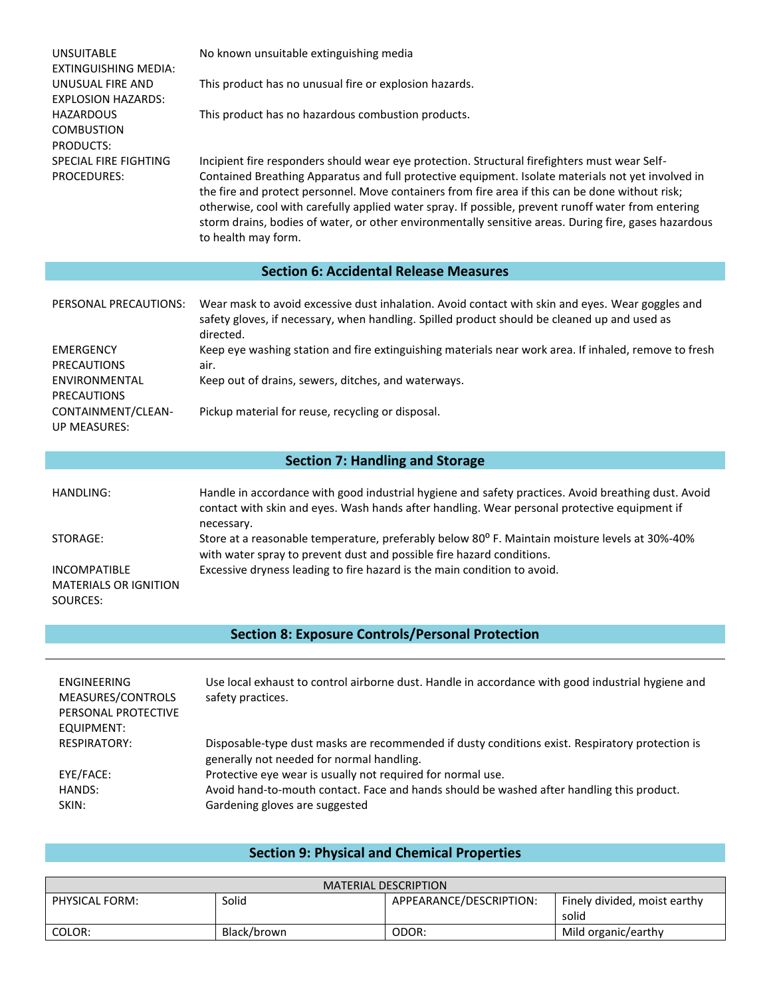| <b>UNSUITABLE</b><br><b>EXTINGUISHING MEDIA:</b><br>UNUSUAL FIRE AND<br><b>EXPLOSION HAZARDS:</b><br><b>HAZARDOUS</b><br><b>COMBUSTION</b><br>PRODUCTS:<br>SPECIAL FIRE FIGHTING<br>PROCEDURES: | No known unsuitable extinguishing media<br>This product has no unusual fire or explosion hazards.<br>This product has no hazardous combustion products.<br>Incipient fire responders should wear eye protection. Structural firefighters must wear Self-<br>Contained Breathing Apparatus and full protective equipment. Isolate materials not yet involved in |  |
|-------------------------------------------------------------------------------------------------------------------------------------------------------------------------------------------------|----------------------------------------------------------------------------------------------------------------------------------------------------------------------------------------------------------------------------------------------------------------------------------------------------------------------------------------------------------------|--|
|                                                                                                                                                                                                 | the fire and protect personnel. Move containers from fire area if this can be done without risk;<br>otherwise, cool with carefully applied water spray. If possible, prevent runoff water from entering<br>storm drains, bodies of water, or other environmentally sensitive areas. During fire, gases hazardous<br>to health may form.                        |  |
|                                                                                                                                                                                                 | <b>Section 6: Accidental Release Measures</b>                                                                                                                                                                                                                                                                                                                  |  |
| PERSONAL PRECAUTIONS:                                                                                                                                                                           | Wear mask to avoid excessive dust inhalation. Avoid contact with skin and eyes. Wear goggles and<br>safety gloves, if necessary, when handling. Spilled product should be cleaned up and used as<br>directed.                                                                                                                                                  |  |
| <b>EMERGENCY</b>                                                                                                                                                                                | Keep eye washing station and fire extinguishing materials near work area. If inhaled, remove to fresh                                                                                                                                                                                                                                                          |  |
| <b>PRECAUTIONS</b>                                                                                                                                                                              | air.                                                                                                                                                                                                                                                                                                                                                           |  |
| ENVIRONMENTAL<br>PRECAUTIONS                                                                                                                                                                    | Keep out of drains, sewers, ditches, and waterways.                                                                                                                                                                                                                                                                                                            |  |
| CONTAINMENT/CLEAN-<br><b>UP MEASURES:</b>                                                                                                                                                       | Pickup material for reuse, recycling or disposal.                                                                                                                                                                                                                                                                                                              |  |
|                                                                                                                                                                                                 | <b>Section 7: Handling and Storage</b>                                                                                                                                                                                                                                                                                                                         |  |
| <b>HANDLING:</b>                                                                                                                                                                                | Handle in accordance with good industrial hygiene and safety practices. Avoid breathing dust. Avoid<br>contact with skin and eyes. Wash hands after handling. Wear personal protective equipment if<br>necessary.                                                                                                                                              |  |
| STORAGE:                                                                                                                                                                                        | Store at a reasonable temperature, preferably below 80° F. Maintain moisture levels at 30%-40%<br>with water spray to prevent dust and possible fire hazard conditions.                                                                                                                                                                                        |  |
| <b>INCOMPATIBLE</b><br><b>MATERIALS OR IGNITION</b><br>SOURCES:                                                                                                                                 | Excessive dryness leading to fire hazard is the main condition to avoid.                                                                                                                                                                                                                                                                                       |  |
| <b>Section 8: Exposure Controls/Personal Protection</b>                                                                                                                                         |                                                                                                                                                                                                                                                                                                                                                                |  |
|                                                                                                                                                                                                 |                                                                                                                                                                                                                                                                                                                                                                |  |
| ENGINEERING<br>MEASURES/CONTROLS<br>PERSONAL PROTECTIVE<br><b>EQUIPMENT:</b>                                                                                                                    | Use local exhaust to control airborne dust. Handle in accordance with good industrial hygiene and<br>safety practices.                                                                                                                                                                                                                                         |  |

| RESPIRATORY: | Disposable-type dust masks are recommended if dusty conditions exist. Respiratory protection is |
|--------------|-------------------------------------------------------------------------------------------------|
|              | generally not needed for normal handling.                                                       |
| EYE/FACE:    | Protective eye wear is usually not required for normal use.                                     |
| HANDS:       | Avoid hand-to-mouth contact. Face and hands should be washed after handling this product.       |

SKIN: Gardening gloves are suggested

# **Section 9: Physical and Chemical Properties**

| MATERIAL DESCRIPTION |             |                         |                                       |
|----------------------|-------------|-------------------------|---------------------------------------|
| PHYSICAL FORM:       | Solid       | APPEARANCE/DESCRIPTION: | Finely divided, moist earthy<br>solid |
| COLOR:               | Black/brown | ODOR:                   | Mild organic/earthy                   |